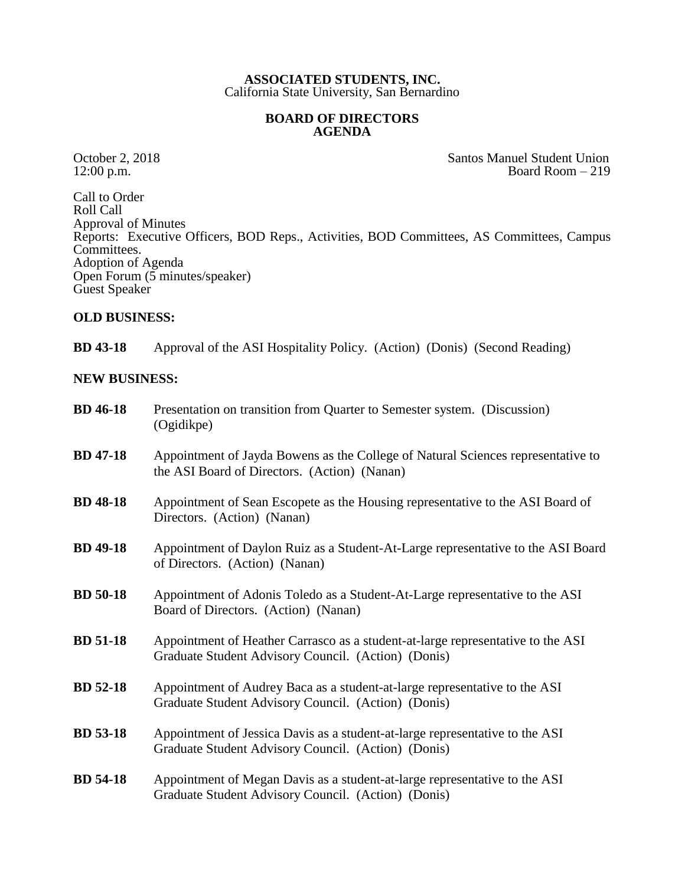## **ASSOCIATED STUDENTS, INC.** California State University, San Bernardino

## **BOARD OF DIRECTORS AGENDA**

October 2, 2018<br>
12:00 p.m.<br>
Board Room – 219 Board Room  $-219$ 

Call to Order Roll Call Approval of Minutes Reports: Executive Officers, BOD Reps., Activities, BOD Committees, AS Committees, Campus Committees. Adoption of Agenda Open Forum  $(5 \text{ minutes/speaker})$ Guest Speaker

## **OLD BUSINESS:**

**BD 43-18** Approval of the ASI Hospitality Policy. (Action) (Donis) (Second Reading)

## **NEW BUSINESS:**

| <b>BD</b> 46-18 | Presentation on transition from Quarter to Semester system. (Discussion)<br>(Ogidikpe)                                                 |
|-----------------|----------------------------------------------------------------------------------------------------------------------------------------|
| <b>BD</b> 47-18 | Appointment of Jayda Bowens as the College of Natural Sciences representative to<br>the ASI Board of Directors. (Action) (Nanan)       |
| <b>BD</b> 48-18 | Appointment of Sean Escopete as the Housing representative to the ASI Board of<br>Directors. (Action) (Nanan)                          |
| <b>BD</b> 49-18 | Appointment of Daylon Ruiz as a Student-At-Large representative to the ASI Board<br>of Directors. (Action) (Nanan)                     |
| <b>BD</b> 50-18 | Appointment of Adonis Toledo as a Student-At-Large representative to the ASI<br>Board of Directors. (Action) (Nanan)                   |
| <b>BD</b> 51-18 | Appointment of Heather Carrasco as a student-at-large representative to the ASI<br>Graduate Student Advisory Council. (Action) (Donis) |
| <b>BD</b> 52-18 | Appointment of Audrey Baca as a student-at-large representative to the ASI<br>Graduate Student Advisory Council. (Action) (Donis)      |
| <b>BD</b> 53-18 | Appointment of Jessica Davis as a student-at-large representative to the ASI<br>Graduate Student Advisory Council. (Action) (Donis)    |
| <b>BD</b> 54-18 | Appointment of Megan Davis as a student-at-large representative to the ASI<br>Graduate Student Advisory Council. (Action) (Donis)      |